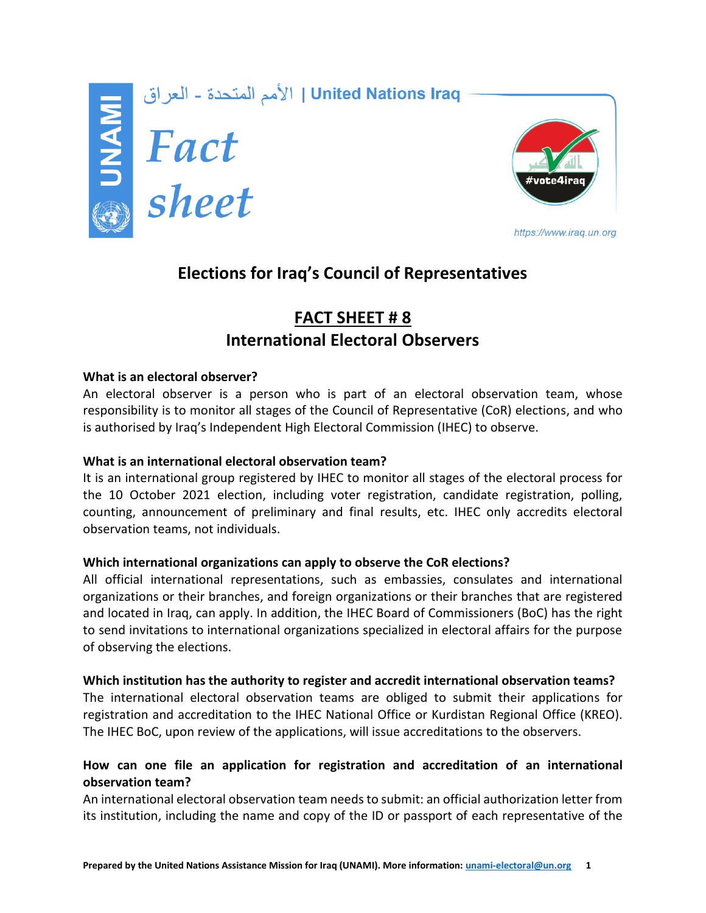

الأمم المتحدة - العراق | United Nations Iraq<br>| **Extrem | Fact**<br>| Sheet



https://www.iraq.un.org

# **Elections for Iraq's Council of Representatives**

# **FACT SHEET # 8 International Electoral Observers**

# **What is an electoral observer?**

An electoral observer is a person who is part of an electoral observation team, whose responsibility is to monitor all stages of the Council of Representative (CoR) elections, and who is authorised by Iraq's Independent High Electoral Commission (IHEC) to observe.

# **What is an international electoral observation team?**

It is an international group registered by IHEC to monitor all stages of the electoral process for the 10 October 2021 election, including voter registration, candidate registration, polling, counting, announcement of preliminary and final results, etc. IHEC only accredits electoral observation teams, not individuals.

# **Which international organizations can apply to observe the CoR elections?**

All official international representations, such as embassies, consulates and international organizations or their branches, and foreign organizations or their branches that are registered and located in Iraq, can apply. In addition, the IHEC Board of Commissioners (BoC) has the right to send invitations to international organizations specialized in electoral affairs for the purpose of observing the elections.

# **Which institution has the authority to register and accredit international observation teams?**

The international electoral observation teams are obliged to submit their applications for registration and accreditation to the IHEC National Office or Kurdistan Regional Office (KREO). The IHEC BoC, upon review of the applications, will issue accreditations to the observers.

# **How can one file an application for registration and accreditation of an international observation team?**

An international electoral observation team needsto submit: an official authorization letter from its institution, including the name and copy of the ID or passport of each representative of the